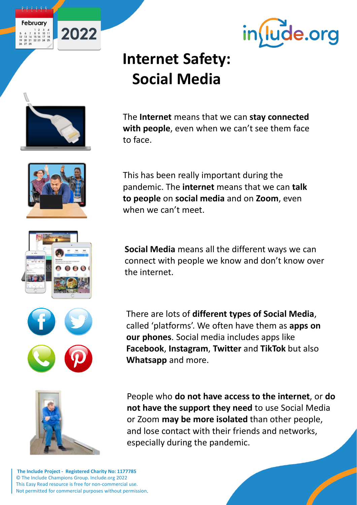



# **Internet Safety: Social Media**

when we can't meet.

**Whatsapp** and more.



2022







the internet. There are lots of **different types of Social Media**,

called 'platforms'. We often have them as **apps on** 

**Facebook**, **Instagram**, **Twitter** and **TikTok** but also

**our phones**. Social media includes apps like

People who **do not have access to the internet**, or **do not have the support they need** to use Social Media or Zoom **may be more isolated** than other people, and lose contact with their friends and networks, especially during the pandemic.

**The Include Project - Registered Charity No: 1177785** © The Include Champions Group. Include.org 2022 This Easy Read resource is free for non-commercial use. Not permitted for commercial purposes without permission

**Social Media** means all the different ways we can connect with people we know and don't know over

The **Internet** means that we can **stay connected with people**, even when we can't see them face to face.

pandemic. The **internet** means that we can **talk** 

**to people** on **social media** and on **Zoom**, even

This has been really important during the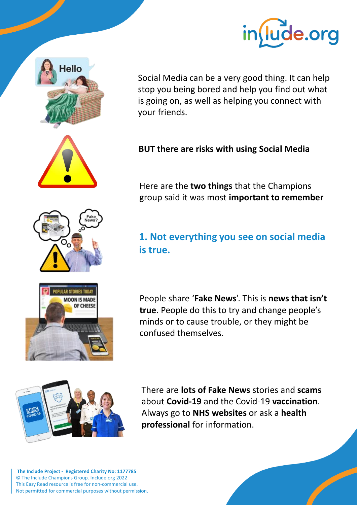



Social Media can be a very good thing. It can help stop you being bored and help you find out what is going on, as well as helping you connect with your friends.

#### **BUT there are risks with using Social Media**

Here are the **two things** that the Champions group said it was most **important to remember**

### **1. Not everything you see on social media is true.**

People share '**Fake News**'. This is **news that isn't true**. People do this to try and change people's minds or to cause trouble, or they might be confused themselves.

There are **lots of Fake News** stories and **scams** about **Covid-19** and the Covid-19 **vaccination**. Always go to **NHS websites** or ask a **health professional** for information.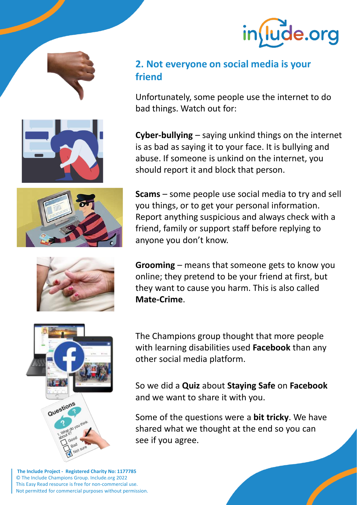









#### **2. Not everyone on social media is your friend**

Unfortunately, some people use the internet to do bad things. Watch out for:

**Cyber-bullying** – saying unkind things on the internet is as bad as saying it to your face. It is bullying and abuse. If someone is unkind on the internet, you should report it and block that person.

**Scams** – some people use social media to try and sell you things, or to get your personal information. Report anything suspicious and always check with a friend, family or support staff before replying to anyone you don't know.

**Grooming** – means that someone gets to know you online; they pretend to be your friend at first, but they want to cause you harm. This is also called **Mate-Crime**.



The Champions group thought that more people with learning disabilities used **Facebook** than any other social media platform.

So we did a **Quiz** about **Staying Safe** on **Facebook** and we want to share it with you.

Some of the questions were a **bit tricky**. We have shared what we thought at the end so you can see if you agree.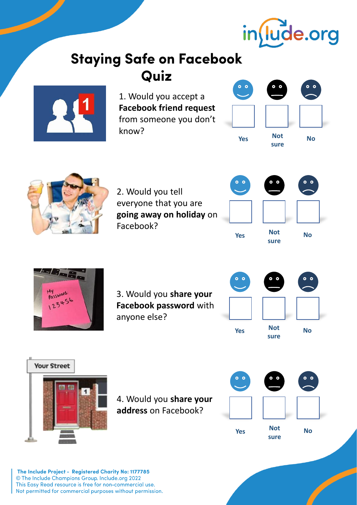

## **Staying Safe on Facebook** Quiz



1. Would you accept a **Facebook friend request**  from someone you don't know?





2. Would you tell everyone that you are **going away on holiday** on Facebook?





3. Would you **share your Facebook password** with anyone else?





4. Would you **share your address** on Facebook?

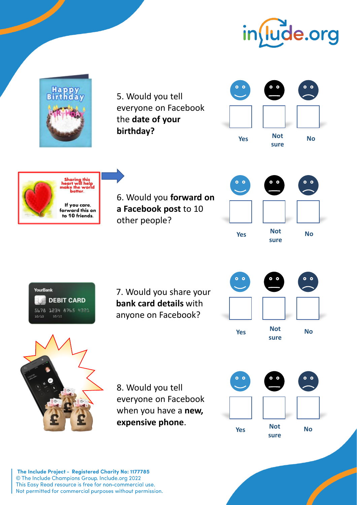

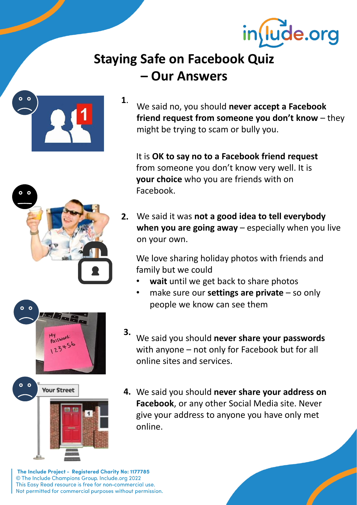

## **Staying Safe on Facebook Quiz – Our Answers**



We said no, you should **never accept a Facebook friend request from someone you don't know** – they might be trying to scam or bully you. **1**.

It is **OK to say no to a Facebook friend request**  from someone you don't know very well. It is **your choice** who you are friends with on Facebook.

We said it was **not a good idea to tell everybody 2. when you are going away** – especially when you live on your own.

We love sharing holiday photos with friends and family but we could

- **wait** until we get back to share photos
- make sure our **settings are private**  so only people we know can see them
- We said you should **never share your passwords** with anyone – not only for Facebook but for all online sites and services. **3.**
- We said you should **never share your address on 4.Facebook**, or any other Social Media site. Never give your address to anyone you have only met online.



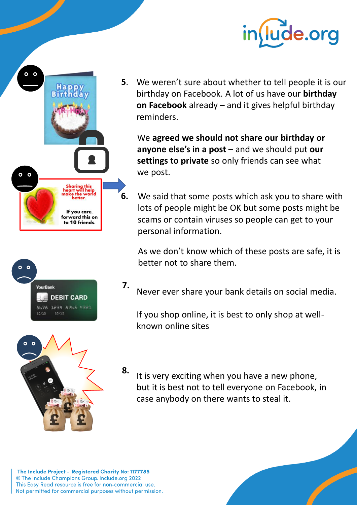







We weren't sure about whether to tell people it is our **5**. birthday on Facebook. A lot of us have our **birthday on Facebook** already – and it gives helpful birthday reminders.

We **agreed we should not share our birthday or anyone else's in a post** – and we should put **our settings to private** so only friends can see what we post.

We said that some posts which ask you to share with lots of people might be OK but some posts might be scams or contain viruses so people can get to your personal information.

As we don't know which of these posts are safe, it is better not to share them.

Never ever share your bank details on social media. **7.**

If you shop online, it is best to only shop at wellknown online sites

It is very exciting when you have a new phone, but it is best not to tell everyone on Facebook, in case anybody on there wants to steal it. **8.**